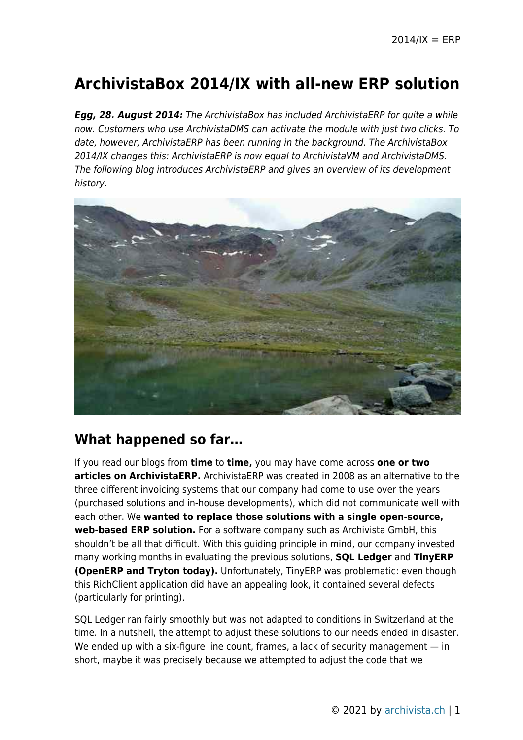# **ArchivistaBox 2014/IX with all-new ERP solution**

**Egg, 28. August 2014:** The ArchivistaBox has included ArchivistaERP for quite a while now. Customers who use ArchivistaDMS can activate the module with just two clicks. To date, however, ArchivistaERP has been running in the background. The ArchivistaBox 2014/IX changes this: ArchivistaERP is now equal to ArchivistaVM and ArchivistaDMS. The following blog introduces ArchivistaERP and gives an overview of its development history.



## **What happened so far…**

If you read our blogs from **time** to **time,** you may have come across **one or two articles on ArchivistaERP.** ArchivistaERP was created in 2008 as an alternative to the three different invoicing systems that our company had come to use over the years (purchased solutions and in-house developments), which did not communicate well with each other. We **wanted to replace those solutions with a single open-source, web-based ERP solution.** For a software company such as Archivista GmbH, this shouldn't be all that difficult. With this guiding principle in mind, our company invested many working months in evaluating the previous solutions, **SQL Ledger** and **TinyERP (OpenERP and Tryton today).** Unfortunately, TinyERP was problematic: even though this RichClient application did have an appealing look, it contained several defects (particularly for printing).

SQL Ledger ran fairly smoothly but was not adapted to conditions in Switzerland at the time. In a nutshell, the attempt to adjust these solutions to our needs ended in disaster. We ended up with a six-figure line count, frames, a lack of security management — in short, maybe it was precisely because we attempted to adjust the code that we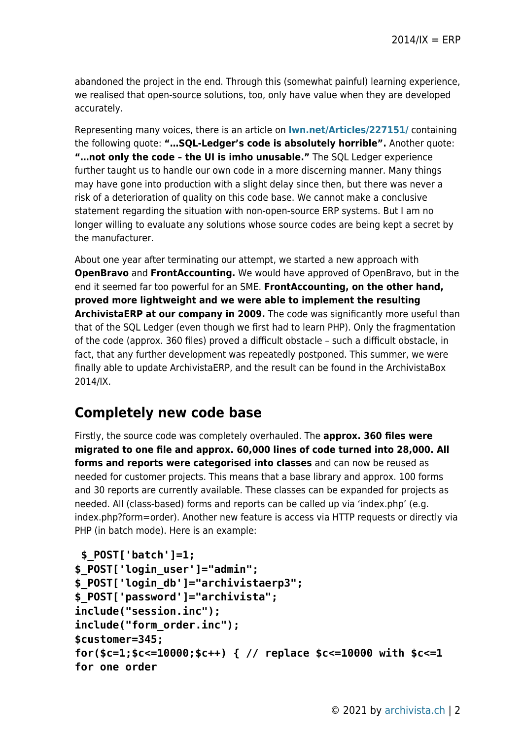abandoned the project in the end. Through this (somewhat painful) learning experience, we realised that open-source solutions, too, only have value when they are developed accurately.

Representing many voices, there is an article on **[lwn.net/Articles/227151/](http://lwn.net/Articles/227151/)** containing the following quote: **"…SQL-Ledger's code is absolutely horrible".** Another quote: **"…not only the code – the UI is imho unusable."** The SQL Ledger experience further taught us to handle our own code in a more discerning manner. Many things may have gone into production with a slight delay since then, but there was never a risk of a deterioration of quality on this code base. We cannot make a conclusive statement regarding the situation with non-open-source ERP systems. But I am no longer willing to evaluate any solutions whose source codes are being kept a secret by the manufacturer.

About one year after terminating our attempt, we started a new approach with **OpenBravo** and **FrontAccounting.** We would have approved of OpenBravo, but in the end it seemed far too powerful for an SME. **FrontAccounting, on the other hand, proved more lightweight and we were able to implement the resulting ArchivistaERP at our company in 2009.** The code was significantly more useful than that of the SQL Ledger (even though we first had to learn PHP). Only the fragmentation of the code (approx. 360 files) proved a difficult obstacle – such a difficult obstacle, in fact, that any further development was repeatedly postponed. This summer, we were finally able to update ArchivistaERP, and the result can be found in the ArchivistaBox 2014/IX.

## **Completely new code base**

Firstly, the source code was completely overhauled. The **approx. 360 files were migrated to one file and approx. 60,000 lines of code turned into 28,000. All forms and reports were categorised into classes** and can now be reused as needed for customer projects. This means that a base library and approx. 100 forms and 30 reports are currently available. These classes can be expanded for projects as needed. All (class-based) forms and reports can be called up via 'index.php' (e.g. index.php?form=order). Another new feature is access via HTTP requests or directly via PHP (in batch mode). Here is an example:

```
 $_POST['batch']=1;
$_POST['login_user']="admin";
$_POST['login_db']="archivistaerp3";
$_POST['password']="archivista";
include("session.inc");
include("form_order.inc");
$customer=345;
for($c=1;$c<=10000;$c++) { // replace $c<=10000 with $c<=1
for one order
```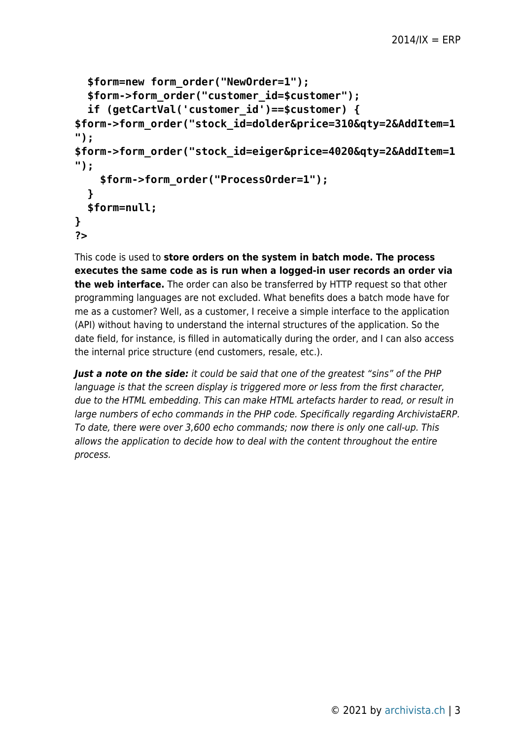```
 $form=new form_order("NewOrder=1");
  $form->form_order("customer_id=$customer");
  if (getCartVal('customer_id')==$customer) {
$form->form_order("stock_id=dolder&price=310&qty=2&AddItem=1
");
$form->form_order("stock_id=eiger&price=4020&qty=2&AddItem=1
");
     $form->form_order("ProcessOrder=1");
  }
  $form=null;
}
?>
```
This code is used to **store orders on the system in batch mode. The process executes the same code as is run when a logged-in user records an order via the web interface.** The order can also be transferred by HTTP request so that other programming languages are not excluded. What benefits does a batch mode have for me as a customer? Well, as a customer, I receive a simple interface to the application (API) without having to understand the internal structures of the application. So the date field, for instance, is filled in automatically during the order, and I can also access the internal price structure (end customers, resale, etc.).

*Just a note on the side:* it could be said that one of the greatest "sins" of the PHP language is that the screen display is triggered more or less from the first character, due to the HTML embedding. This can make HTML artefacts harder to read, or result in large numbers of echo commands in the PHP code. Specifically regarding ArchivistaERP. To date, there were over 3,600 echo commands; now there is only one call-up. This allows the application to decide how to deal with the content throughout the entire process.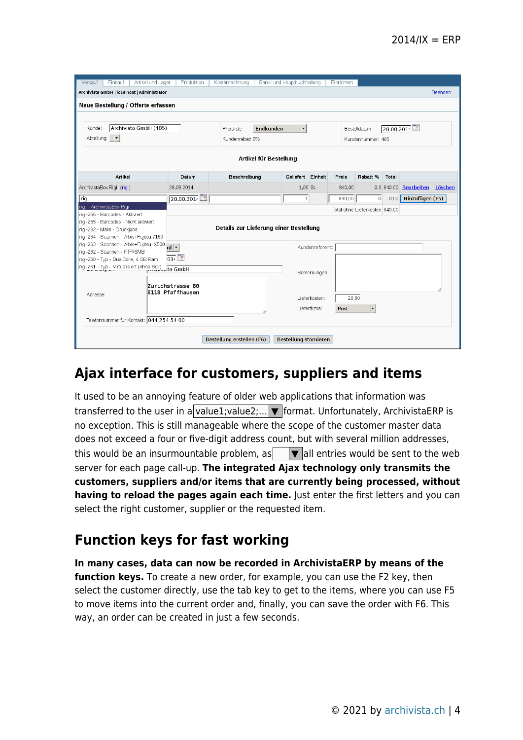| Verkauf<br>Einkauf<br>Artikel und Lager                                                    | Produktion                           | Kostenrechnung                    | Bank- und Hauptbuchhaltung |                   |                        | Einrichten                 |                                |       |                               |  |  |  |
|--------------------------------------------------------------------------------------------|--------------------------------------|-----------------------------------|----------------------------|-------------------|------------------------|----------------------------|--------------------------------|-------|-------------------------------|--|--|--|
| Archivista GmbH   localhost   Administrator<br>Beenden                                     |                                      |                                   |                            |                   |                        |                            |                                |       |                               |  |  |  |
| Neue Bestellung / Offerte erfassen                                                         |                                      |                                   |                            |                   |                        |                            |                                |       |                               |  |  |  |
|                                                                                            |                                      |                                   |                            |                   |                        |                            |                                |       |                               |  |  |  |
|                                                                                            |                                      |                                   |                            |                   |                        |                            |                                |       |                               |  |  |  |
| Archivista GmbH (485)<br>Kunde:                                                            | Preisliste                           | Endkunden<br>$\blacktriangledown$ |                            |                   |                        | 28.08.201<br>Bestelldatum: |                                |       |                               |  |  |  |
| ∣▼<br>Abteilung:                                                                           |                                      | Kundenrabatt 0%                   |                            |                   |                        | Kundennummer: 485          |                                |       |                               |  |  |  |
|                                                                                            |                                      |                                   |                            |                   |                        |                            |                                |       |                               |  |  |  |
| Artikel für Bestellung                                                                     |                                      |                                   |                            |                   |                        |                            |                                |       |                               |  |  |  |
| Artikel                                                                                    | Datum                                | Beschreibung                      |                            | Geliefert Einheit |                        | Preis                      | Rabatt %                       | Total |                               |  |  |  |
| ArchivistaBox Rigi (rigi)                                                                  | 28.08.2014                           |                                   |                            | 1,00 St.          |                        | 840,00                     |                                |       | 0,0 840,00 Bearbeiten Löschen |  |  |  |
|                                                                                            |                                      |                                   |                            |                   |                        |                            |                                |       |                               |  |  |  |
| $ $ rig                                                                                    | 28.08.2014                           |                                   |                            | $\mathbf{1}$      |                        | 840,00                     | $\mathbf{0}$                   | 0.00  | Hinzufügen (F5)               |  |  |  |
| rigi - ArchivistaBox Rigi<br>rigi-266 - Barcodes - Aktiviert                               |                                      |                                   |                            |                   |                        |                            | Total ohne Lieferkosten 840.00 |       |                               |  |  |  |
| rigi-265 - Barcodes - Nicht aktiviert                                                      |                                      |                                   |                            |                   |                        |                            |                                |       |                               |  |  |  |
| Details zur Lieferung einer Bestellung<br>rigi-282 - Mails - Druckjobs                     |                                      |                                   |                            |                   |                        |                            |                                |       |                               |  |  |  |
| rigi-264 - Scannen - Albis+Fujitsu 7160                                                    |                                      |                                   |                            |                   |                        |                            |                                |       |                               |  |  |  |
| rigi-263 - Scannen - Albis+Fujitsu iX500 rd [▼                                             |                                      |                                   | Kundenreferenz:            |                   |                        |                            |                                |       |                               |  |  |  |
| rigi-262 - Scannen - FTP/SMB                                                               |                                      |                                   |                            |                   |                        |                            |                                |       |                               |  |  |  |
| 01 <sup>2</sup><br>rigi-260 - Typ - DualCore, 4 GB Ram                                     |                                      |                                   |                            |                   |                        |                            |                                |       |                               |  |  |  |
| rigi-261 - Typ - Virtualisiert (ohne Box)<br>Pressenting Combined Transmission of the GmbH |                                      |                                   |                            |                   | Bemerkungen:           |                            |                                |       |                               |  |  |  |
|                                                                                            |                                      |                                   |                            |                   |                        |                            |                                |       |                               |  |  |  |
|                                                                                            | Zürichstrasse 80<br>8118 Pfaffhausen |                                   |                            |                   |                        |                            |                                |       |                               |  |  |  |
| Adresse:                                                                                   |                                      |                                   |                            |                   | 20.00<br>Lieferkosten: |                            |                                |       |                               |  |  |  |
|                                                                                            |                                      |                                   |                            |                   | Lieferfirma:           | Post                       |                                |       |                               |  |  |  |
|                                                                                            |                                      |                                   |                            |                   |                        |                            |                                |       |                               |  |  |  |
| Telefonnummer für Kontakt: 044 254 54 00                                                   |                                      |                                   |                            |                   |                        |                            |                                |       |                               |  |  |  |
|                                                                                            |                                      |                                   |                            |                   |                        |                            |                                |       |                               |  |  |  |
| Bestellung erstellen (F6)<br>Bestellung stornieren                                         |                                      |                                   |                            |                   |                        |                            |                                |       |                               |  |  |  |
|                                                                                            |                                      |                                   |                            |                   |                        |                            |                                |       |                               |  |  |  |

## **Ajax interface for customers, suppliers and items**

It used to be an annoying feature of older web applications that information was transferred to the user in a value1; value2;...  $\blacktriangledown$  format. Unfortunately, ArchivistaERP is no exception. This is still manageable where the scope of the customer master data does not exceed a four or five-digit address count, but with several million addresses, this would be an insurmountable problem, as  $\|\nabla\|$  all entries would be sent to the web server for each page call-up. **The integrated Ajax technology only transmits the customers, suppliers and/or items that are currently being processed, without having to reload the pages again each time.** Just enter the first letters and you can select the right customer, supplier or the requested item.

## **Function keys for fast working**

**In many cases, data can now be recorded in ArchivistaERP by means of the function keys.** To create a new order, for example, you can use the F2 key, then select the customer directly, use the tab key to get to the items, where you can use F5 to move items into the current order and, finally, you can save the order with F6. This way, an order can be created in just a few seconds.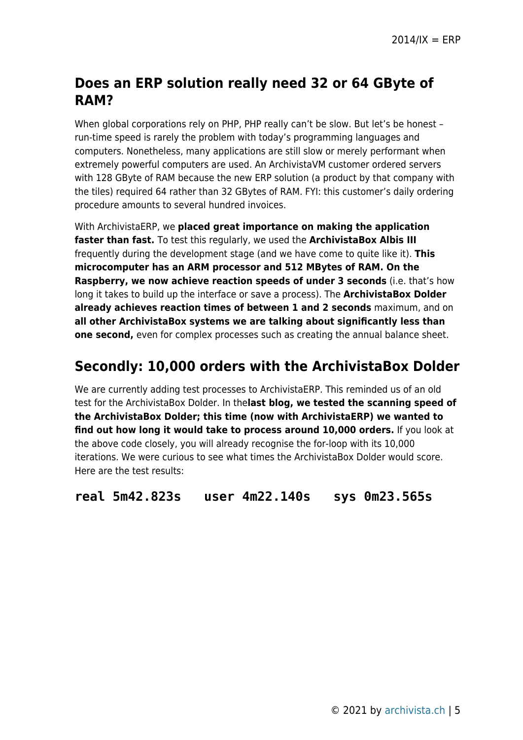## **Does an ERP solution really need 32 or 64 GByte of RAM?**

When global corporations rely on PHP, PHP really can't be slow. But let's be honest run-time speed is rarely the problem with today's programming languages and computers. Nonetheless, many applications are still slow or merely performant when extremely powerful computers are used. An ArchivistaVM customer ordered servers with 128 GByte of RAM because the new ERP solution (a product by that company with the tiles) required 64 rather than 32 GBytes of RAM. FYI: this customer's daily ordering procedure amounts to several hundred invoices.

With ArchivistaERP, we **placed great importance on making the application faster than fast.** To test this regularly, we used the **ArchivistaBox Albis III** frequently during the development stage (and we have come to quite like it). **This microcomputer has an ARM processor and 512 MBytes of RAM. On the Raspberry, we now achieve reaction speeds of under 3 seconds** (i.e. that's how long it takes to build up the interface or save a process). The **ArchivistaBox Dolder already achieves reaction times of between 1 and 2 seconds** maximum, and on **all other ArchivistaBox systems we are talking about significantly less than one second,** even for complex processes such as creating the annual balance sheet.

#### **Secondly: 10,000 orders with the ArchivistaBox Dolder**

We are currently adding test processes to ArchivistaERP. This reminded us of an old test for the ArchivistaBox Dolder. In the**last blog, we tested the scanning speed of the ArchivistaBox Dolder; this time (now with ArchivistaERP) we wanted to find out how long it would take to process around 10,000 orders.** If you look at the above code closely, you will already recognise the for-loop with its 10,000 iterations. We were curious to see what times the ArchivistaBox Dolder would score. Here are the test results:

**real 5m42.823s user 4m22.140s sys 0m23.565s**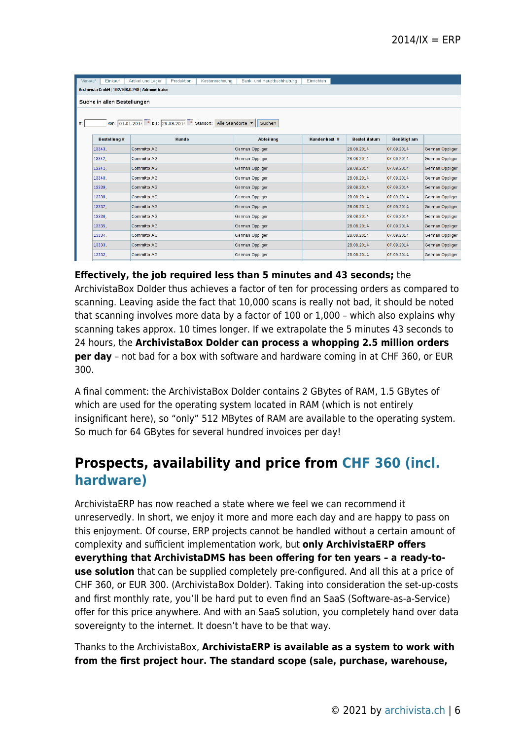| Einkauf<br>Verkauf                              | Produktion         | Bank- und Hauptbuchhaltung | Einrichten                                                                                              |                     |                    |                 |  |  |  |  |  |  |
|-------------------------------------------------|--------------------|----------------------------|---------------------------------------------------------------------------------------------------------|---------------------|--------------------|-----------------|--|--|--|--|--|--|
| Archivista GmbH   192.168.0.248   Administrator |                    |                            |                                                                                                         |                     |                    |                 |  |  |  |  |  |  |
| Suche in allen Bestellungen                     |                    |                            |                                                                                                         |                     |                    |                 |  |  |  |  |  |  |
|                                                 |                    |                            |                                                                                                         |                     |                    |                 |  |  |  |  |  |  |
| Suchen<br>#.                                    |                    |                            |                                                                                                         |                     |                    |                 |  |  |  |  |  |  |
|                                                 |                    |                            |                                                                                                         |                     |                    |                 |  |  |  |  |  |  |
| <b>Bestellung#</b>                              | Kunde              | <b>Abteilung</b>           | Kundenbest. #                                                                                           | <b>Bestelldatum</b> | <b>Benötigt am</b> |                 |  |  |  |  |  |  |
| 13343                                           | <b>Committo AG</b> | German Oppliger            |                                                                                                         | 28.08.2014          | 07.09.2014         | German Oppliger |  |  |  |  |  |  |
| 13342.                                          | Committo AG        |                            |                                                                                                         | 28.08.2014          | 07.09.2014         | German Oppliger |  |  |  |  |  |  |
| 13341.                                          | Committo AG        | German Oppliger            |                                                                                                         | 28.08.2014          | 07.09.2014         | German Oppliger |  |  |  |  |  |  |
| 13340.                                          | <b>Committo AG</b> | German Oppliger            |                                                                                                         | 28.08.2014          | 07.09.2014         | German Oppliger |  |  |  |  |  |  |
| 13339,                                          | <b>Committo AG</b> | German Oppliger            |                                                                                                         | 28.08.2014          | 07.09.2014         | German Oppliger |  |  |  |  |  |  |
| 13338.                                          | Committo AG        | German Oppliger            |                                                                                                         | 28.08.2014          | 07.09.2014         | German Oppliger |  |  |  |  |  |  |
| 13337.                                          | <b>Committo AG</b> | German Oppliger            | 28.08.2014                                                                                              |                     | 07.09.2014         | German Oppliger |  |  |  |  |  |  |
| 13336,                                          | <b>Committo AG</b> | German Oppliger            |                                                                                                         | 28.08.2014          | 07.09.2014         | German Oppliger |  |  |  |  |  |  |
| 13335                                           | Committo AG        | German Oppliger            |                                                                                                         | 28.08.2014          | 07.09.2014         | German Oppliger |  |  |  |  |  |  |
| 13334                                           | <b>Committo AG</b> | German Oppliger            |                                                                                                         | 28.08.2014          | 07.09.2014         | German Oppliger |  |  |  |  |  |  |
| 13333.                                          | <b>Committo AG</b> | German Oppliger            |                                                                                                         | 28.08.2014          | 07.09.2014         | German Oppliger |  |  |  |  |  |  |
| 13332                                           | Committo AG        | German Oppliger            |                                                                                                         | 28.08.2014          | 07.09.2014         | German Oppliger |  |  |  |  |  |  |
|                                                 |                    | Artikel und Lager          | Kostenrechnung<br>von: 01.01.2014   bis: 29.08.2014   Standort: Alle Standorte   v  <br>German Oppliger |                     |                    |                 |  |  |  |  |  |  |

**Effectively, the job required less than 5 minutes and 43 seconds;** the ArchivistaBox Dolder thus achieves a factor of ten for processing orders as compared to scanning. Leaving aside the fact that 10,000 scans is really not bad, it should be noted that scanning involves more data by a factor of 100 or 1,000 – which also explains why scanning takes approx. 10 times longer. If we extrapolate the 5 minutes 43 seconds to 24 hours, the **ArchivistaBox Dolder can process a whopping 2.5 million orders per day** – not bad for a box with software and hardware coming in at CHF 360, or EUR 300.

A final comment: the ArchivistaBox Dolder contains 2 GBytes of RAM, 1.5 GBytes of which are used for the operating system located in RAM (which is not entirely insignificant here), so "only" 512 MBytes of RAM are available to the operating system. So much for 64 GBytes for several hundred invoices per day!

## **Prospects, availability and price from [CHF 360 \(incl.](http://shop.archivista.ch/oscommunity/catalog/advanced_search_result.php?keywords=dolder&sort=2a&language=en) [hardware\)](http://shop.archivista.ch/oscommunity/catalog/advanced_search_result.php?keywords=dolder&sort=2a&language=en)**

ArchivistaERP has now reached a state where we feel we can recommend it unreservedly. In short, we enjoy it more and more each day and are happy to pass on this enjoyment. Of course, ERP projects cannot be handled without a certain amount of complexity and sufficient implementation work, but **only ArchivistaERP offers everything that ArchivistaDMS has been offering for ten years – a ready-touse solution** that can be supplied completely pre-configured. And all this at a price of CHF 360, or EUR 300. (ArchivistaBox Dolder). Taking into consideration the set-up-costs and first monthly rate, you'll be hard put to even find an SaaS (Software-as-a-Service) offer for this price anywhere. And with an SaaS solution, you completely hand over data sovereignty to the internet. It doesn't have to be that way.

Thanks to the ArchivistaBox, **ArchivistaERP is available as a system to work with from the first project hour. The standard scope (sale, purchase, warehouse,**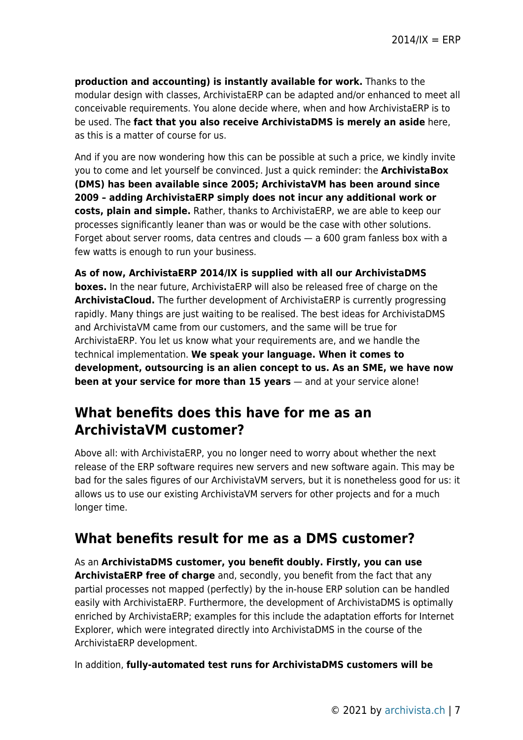**production and accounting) is instantly available for work.** Thanks to the modular design with classes, ArchivistaERP can be adapted and/or enhanced to meet all conceivable requirements. You alone decide where, when and how ArchivistaERP is to be used. The **fact that you also receive ArchivistaDMS is merely an aside** here, as this is a matter of course for us.

And if you are now wondering how this can be possible at such a price, we kindly invite you to come and let yourself be convinced. Just a quick reminder: the **ArchivistaBox (DMS) has been available since 2005; ArchivistaVM has been around since 2009 – adding ArchivistaERP simply does not incur any additional work or costs, plain and simple.** Rather, thanks to ArchivistaERP, we are able to keep our processes significantly leaner than was or would be the case with other solutions. Forget about server rooms, data centres and clouds — a 600 gram fanless box with a few watts is enough to run your business.

**As of now, ArchivistaERP 2014/IX is supplied with all our ArchivistaDMS boxes.** In the near future, ArchivistaERP will also be released free of charge on the **ArchivistaCloud.** The further development of ArchivistaERP is currently progressing rapidly. Many things are just waiting to be realised. The best ideas for ArchivistaDMS and ArchivistaVM came from our customers, and the same will be true for ArchivistaERP. You let us know what your requirements are, and we handle the technical implementation. **We speak your language. When it comes to development, outsourcing is an alien concept to us. As an SME, we have now been at your service for more than 15 years** — and at your service alone!

## **What benefits does this have for me as an ArchivistaVM customer?**

Above all: with ArchivistaERP, you no longer need to worry about whether the next release of the ERP software requires new servers and new software again. This may be bad for the sales figures of our ArchivistaVM servers, but it is nonetheless good for us: it allows us to use our existing ArchivistaVM servers for other projects and for a much longer time.

## **What benefits result for me as a DMS customer?**

As an **ArchivistaDMS customer, you benefit doubly. Firstly, you can use ArchivistaERP free of charge** and, secondly, you benefit from the fact that any partial processes not mapped (perfectly) by the in-house ERP solution can be handled easily with ArchivistaERP. Furthermore, the development of ArchivistaDMS is optimally enriched by ArchivistaERP; examples for this include the adaptation efforts for Internet Explorer, which were integrated directly into ArchivistaDMS in the course of the ArchivistaERP development.

In addition, **fully-automated test runs for ArchivistaDMS customers will be**